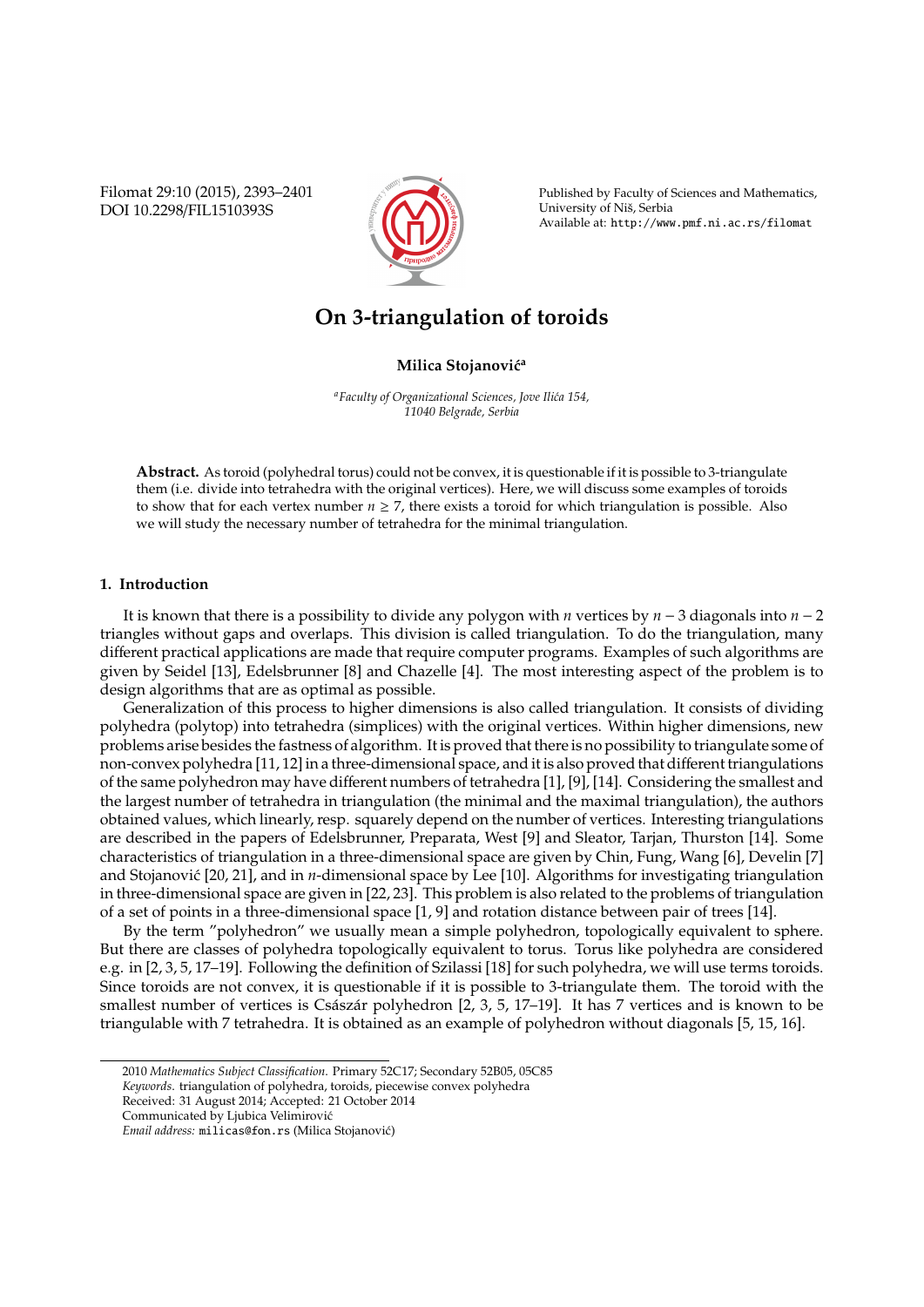Filomat 29:10 (2015), 2393–2401 DOI 10.2298/FIL1510393S



Published by Faculty of Sciences and Mathematics, University of Niš, Serbia Available at: http://www.pmf.ni.ac.rs/filomat

# **On 3-triangulation of toroids**

**Milica Stojanović<sup>a</sup>** 

*<sup>a</sup>Faculty of Organizational Sciences, Jove Ili´ca 154, 11040 Belgrade, Serbia*

**Abstract.** As toroid (polyhedral torus) could not be convex, it is questionable if it is possible to 3-triangulate them (i.e. divide into tetrahedra with the original vertices). Here, we will discuss some examples of toroids to show that for each vertex number  $n \ge 7$ , there exists a toroid for which triangulation is possible. Also we will study the necessary number of tetrahedra for the minimal triangulation.

## **1. Introduction**

It is known that there is a possibility to divide any polygon with *n* vertices by *n* − 3 diagonals into *n* − 2 triangles without gaps and overlaps. This division is called triangulation. To do the triangulation, many different practical applications are made that require computer programs. Examples of such algorithms are given by Seidel [13], Edelsbrunner [8] and Chazelle [4]. The most interesting aspect of the problem is to design algorithms that are as optimal as possible.

Generalization of this process to higher dimensions is also called triangulation. It consists of dividing polyhedra (polytop) into tetrahedra (simplices) with the original vertices. Within higher dimensions, new problems arise besides the fastness of algorithm. It is proved that there is no possibility to triangulate some of non-convex polyhedra [11, 12] in a three-dimensional space, and it is also proved that different triangulations of the same polyhedron may have different numbers of tetrahedra [1], [9], [14]. Considering the smallest and the largest number of tetrahedra in triangulation (the minimal and the maximal triangulation), the authors obtained values, which linearly, resp. squarely depend on the number of vertices. Interesting triangulations are described in the papers of Edelsbrunner, Preparata, West [9] and Sleator, Tarjan, Thurston [14]. Some characteristics of triangulation in a three-dimensional space are given by Chin, Fung, Wang [6], Develin [7] and Stojanović [20, 21], and in *n*-dimensional space by Lee [10]. Algorithms for investigating triangulation in three-dimensional space are given in [22, 23]. This problem is also related to the problems of triangulation of a set of points in a three-dimensional space [1, 9] and rotation distance between pair of trees [14].

By the term "polyhedron" we usually mean a simple polyhedron, topologically equivalent to sphere. But there are classes of polyhedra topologically equivalent to torus. Torus like polyhedra are considered e.g. in [2, 3, 5, 17–19]. Following the definition of Szilassi [18] for such polyhedra, we will use terms toroids. Since toroids are not convex, it is questionable if it is possible to 3-triangulate them. The toroid with the smallest number of vertices is Császár polyhedron  $[2, 3, 5, 17–19]$ . It has 7 vertices and is known to be triangulable with 7 tetrahedra. It is obtained as an example of polyhedron without diagonals [5, 15, 16].

<sup>2010</sup> *Mathematics Subject Classification*. Primary 52C17; Secondary 52B05, 05C85

*Keywords*. triangulation of polyhedra, toroids, piecewise convex polyhedra

Received: 31 August 2014; Accepted: 21 October 2014

Communicated by Ljubica Velimirovic´

*Email address:* milicas@fon.rs (Milica Stojanovic)´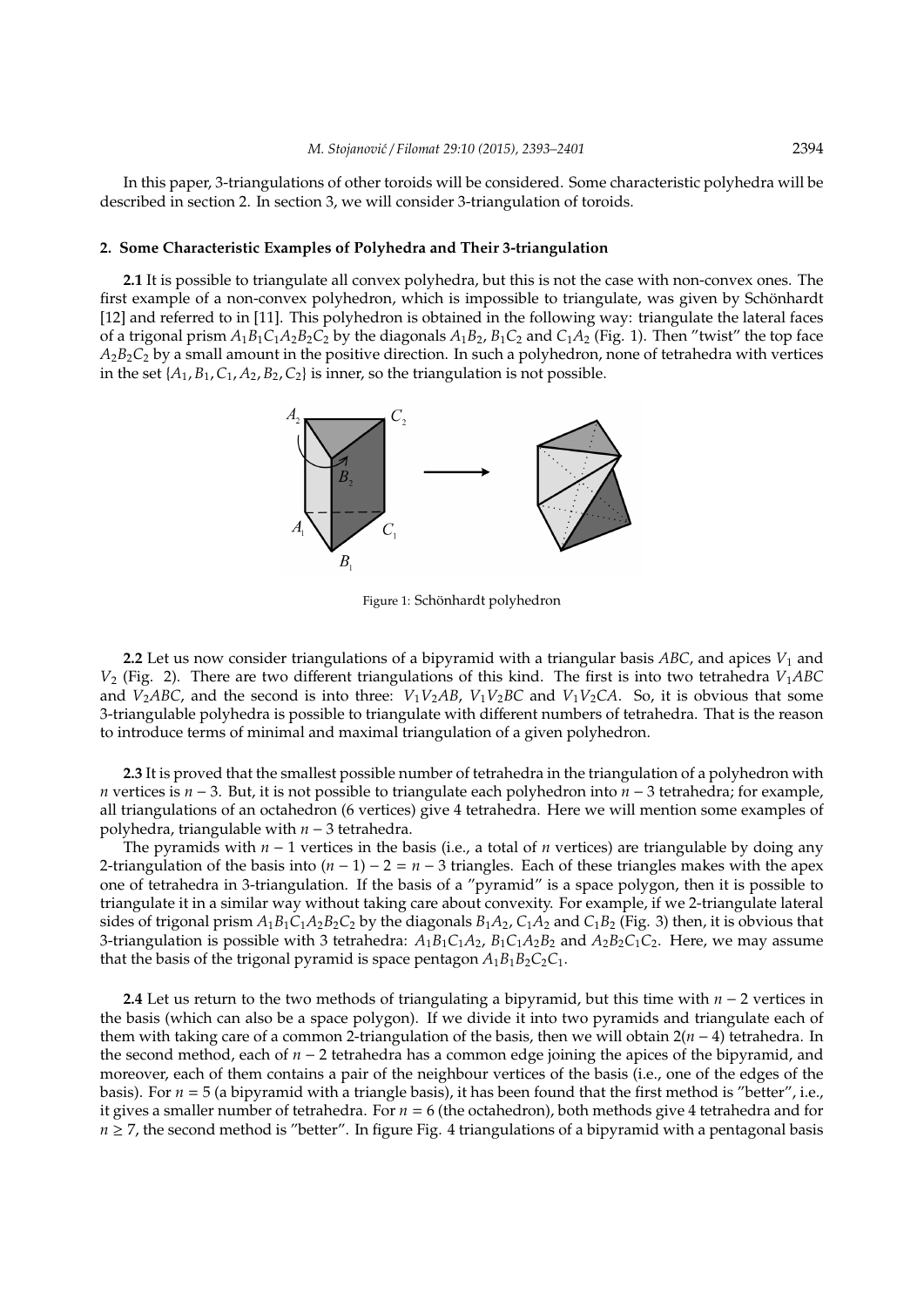In this paper, 3-triangulations of other toroids will be considered. Some characteristic polyhedra will be described in section 2. In section 3, we will consider 3-triangulation of toroids.

## **2. Some Characteristic Examples of Polyhedra and Their 3-triangulation**

**2.1** It is possible to triangulate all convex polyhedra, but this is not the case with non-convex ones. The first example of a non-convex polyhedron, which is impossible to triangulate, was given by Schönhardt [12] and referred to in [11]. This polyhedron is obtained in the following way: triangulate the lateral faces of a trigonal prism  $A_1B_1C_1A_2B_2C_2$  by the diagonals  $A_1B_2$ ,  $B_1C_2$  and  $C_1A_2$  (Fig. 1). Then "twist" the top face *A*2*B*2*C*<sup>2</sup> by a small amount in the positive direction. In such a polyhedron, none of tetrahedra with vertices in the set  $\{A_1, B_1, C_1, A_2, B_2, C_2\}$  is inner, so the triangulation is not possible.



Figure 1: Schönhardt polyhedron

**2.2** Let us now consider triangulations of a bipyramid with a triangular basis *ABC*, and apices *V*<sub>1</sub> and *V*<sup>2</sup> (Fig. 2). There are two different triangulations of this kind. The first is into two tetrahedra *V*1*ABC* and  $V_2$ *ABC*, and the second is into three:  $V_1V_2AB$ ,  $V_1V_2BC$  and  $V_1V_2CA$ . So, it is obvious that some 3-triangulable polyhedra is possible to triangulate with different numbers of tetrahedra. That is the reason to introduce terms of minimal and maximal triangulation of a given polyhedron.

**2.3** It is proved that the smallest possible number of tetrahedra in the triangulation of a polyhedron with *n* vertices is *n* − 3. But, it is not possible to triangulate each polyhedron into *n* − 3 tetrahedra; for example, all triangulations of an octahedron (6 vertices) give 4 tetrahedra. Here we will mention some examples of polyhedra, triangulable with *n* − 3 tetrahedra.

The pyramids with *n* − 1 vertices in the basis (i.e., a total of *n* vertices) are triangulable by doing any 2-triangulation of the basis into (*n* − 1) − 2 = *n* − 3 triangles. Each of these triangles makes with the apex one of tetrahedra in 3-triangulation. If the basis of a "pyramid" is a space polygon, then it is possible to triangulate it in a similar way without taking care about convexity. For example, if we 2-triangulate lateral sides of trigonal prism  $A_1B_1C_1A_2B_2C_2$  by the diagonals  $B_1A_2$ ,  $C_1A_2$  and  $C_1B_2$  (Fig. 3) then, it is obvious that 3-triangulation is possible with 3 tetrahedra:  $A_1B_1C_1A_2$ ,  $B_1C_1A_2B_2$  and  $A_2B_2C_1C_2$ . Here, we may assume that the basis of the trigonal pyramid is space pentagon  $A_1B_1B_2C_2C_1$ .

**2.4** Let us return to the two methods of triangulating a bipyramid, but this time with *n* − 2 vertices in the basis (which can also be a space polygon). If we divide it into two pyramids and triangulate each of them with taking care of a common 2-triangulation of the basis, then we will obtain 2(*n* − 4) tetrahedra. In the second method, each of *n* − 2 tetrahedra has a common edge joining the apices of the bipyramid, and moreover, each of them contains a pair of the neighbour vertices of the basis (i.e., one of the edges of the basis). For  $n = 5$  (a bipyramid with a triangle basis), it has been found that the first method is "better", i.e., it gives a smaller number of tetrahedra. For *n* = 6 (the octahedron), both methods give 4 tetrahedra and for  $n \geq 7$ , the second method is "better". In figure Fig. 4 triangulations of a bipyramid with a pentagonal basis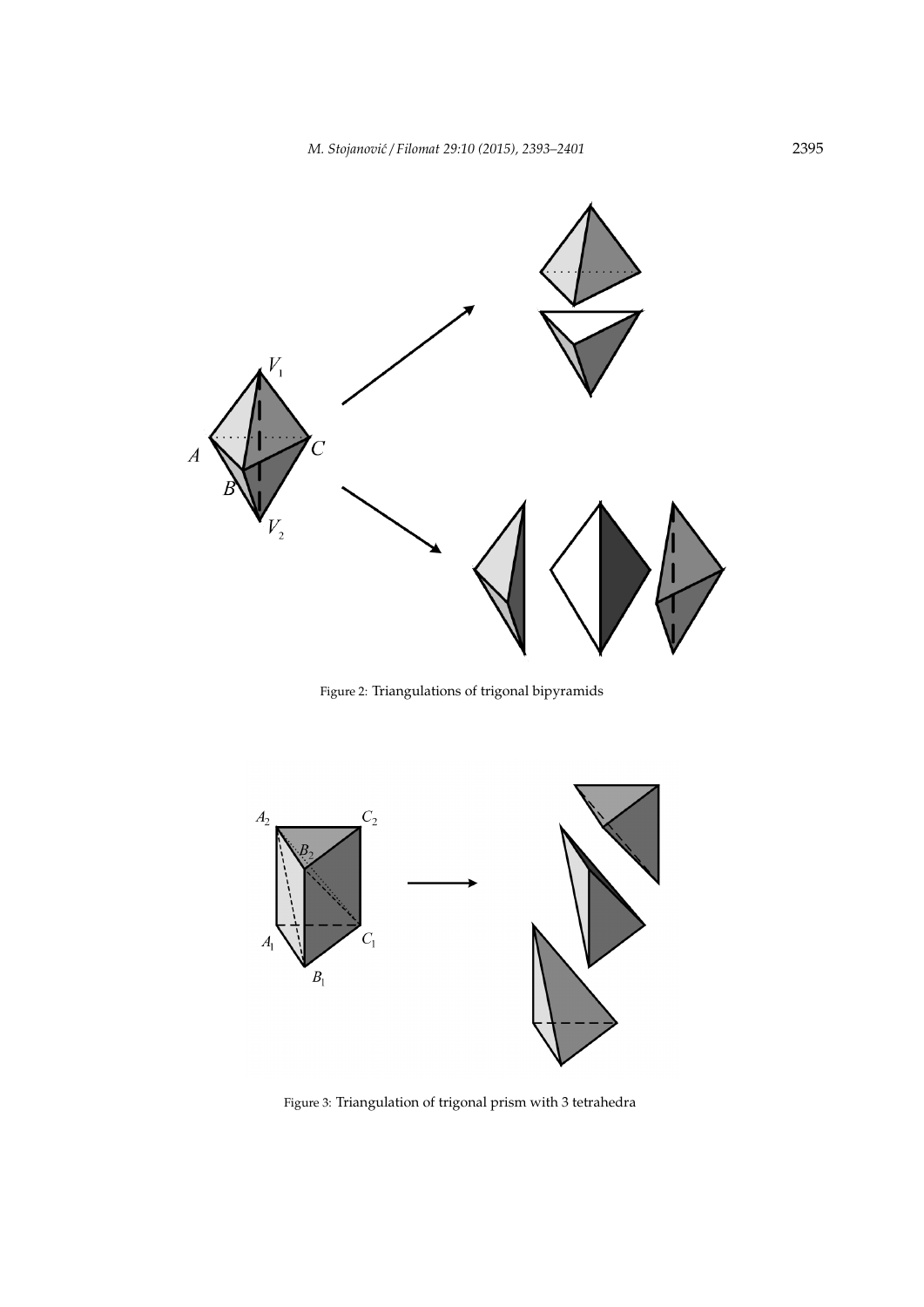

Figure 2: Triangulations of trigonal bipyramids



Figure 3: Triangulation of trigonal prism with 3 tetrahedra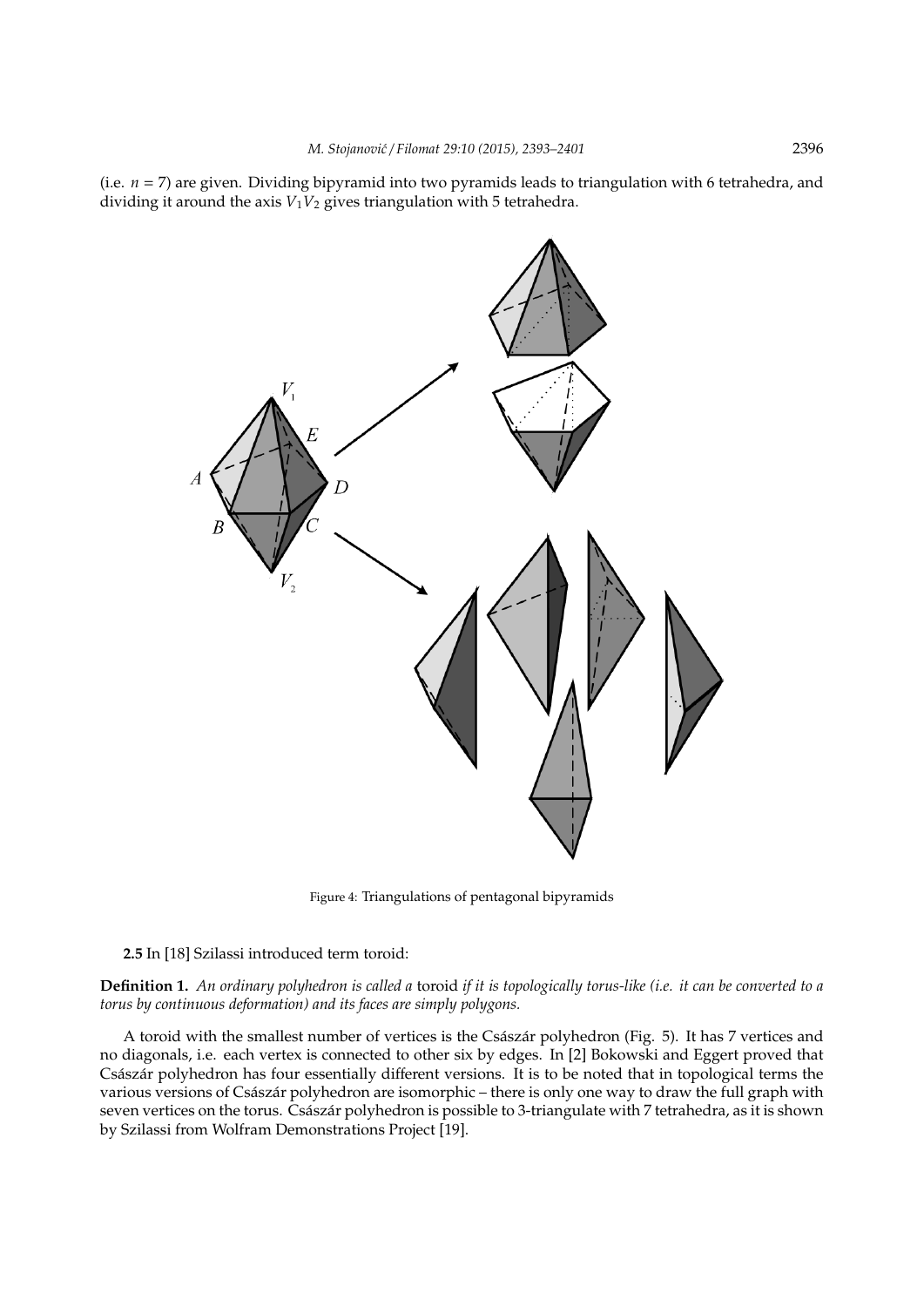(i.e.  $n = 7$ ) are given. Dividing bipyramid into two pyramids leads to triangulation with 6 tetrahedra, and dividing it around the axis  $V_1V_2$  gives triangulation with 5 tetrahedra.



Figure 4: Triangulations of pentagonal bipyramids

## **2.5** In [18] Szilassi introduced term toroid:

**Definition 1.** *An ordinary polyhedron is called a* toroid *if it is topologically torus-like (i.e. it can be converted to a torus by continuous deformation) and its faces are simply polygons.*

A toroid with the smallest number of vertices is the Császár polyhedron (Fig. 5). It has 7 vertices and no diagonals, i.e. each vertex is connected to other six by edges. In [2] Bokowski and Eggert proved that Császár polyhedron has four essentially different versions. It is to be noted that in topological terms the various versions of Császár polyhedron are isomorphic – there is only one way to draw the full graph with seven vertices on the torus. Császár polyhedron is possible to 3-triangulate with 7 tetrahedra, as it is shown by Szilassi from Wolfram Demonstrations Project [19].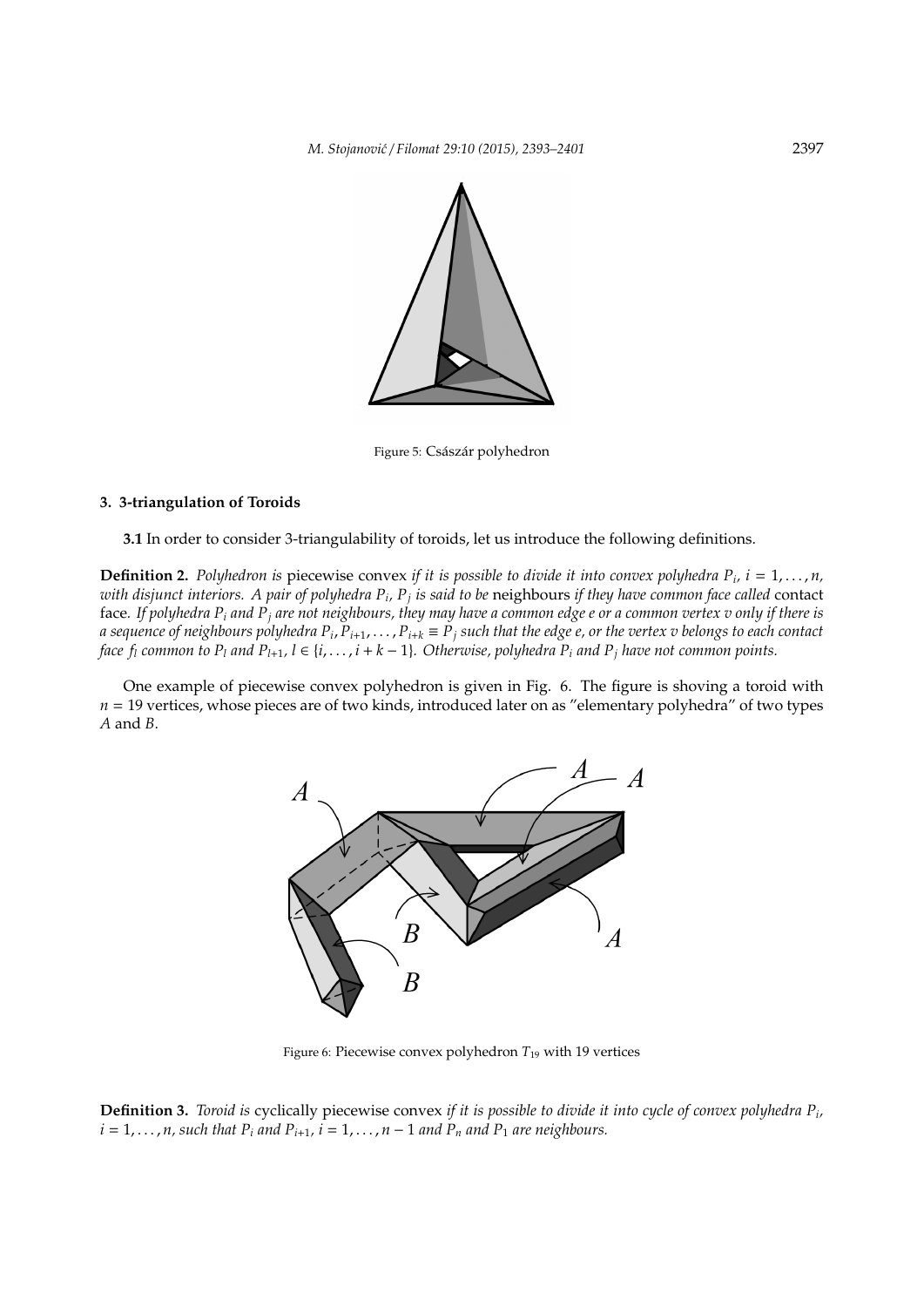

Figure 5: Császár polyhedron

## **3. 3-triangulation of Toroids**

**3.1** In order to consider 3-triangulability of toroids, let us introduce the following definitions.

**Definition 2.** Polyhedron is piecewise convex if it is possible to divide it into convex polyhedra  $P_i$ ,  $i = 1, \ldots, n$ , with disjunct interiors. A pair of polyhedra P<sub>i</sub>, P<sub>j</sub> is said to be neighbours if they have common face called contact face*. If polyhedra P<sup>i</sup> and P<sup>j</sup> are not neighbours, they may have a common edge e or a common vertex v only if there is* a sequence of neighbours polyhedra P<sub>i</sub>, P<sub>i+1</sub>,  $\dots$  , P<sub>i+k</sub>  $\equiv$  P<sub>j</sub> such that the edge e, or the vertex v belongs to each contact *face*  $f_l$  *common to*  $P_l$  *and*  $P_{l+1}$ ,  $l \in \{i, \ldots, i+k-1\}$ . Otherwise, polyhedra  $P_i$  *and*  $P_j$  *have not common points.* 

One example of piecewise convex polyhedron is given in Fig. 6. The figure is shoving a toroid with *n* = 19 vertices, whose pieces are of two kinds, introduced later on as "elementary polyhedra" of two types *A* and *B*.



Figure 6: Piecewise convex polyhedron  $T_{19}$  with 19 vertices

**Definition 3.** *Toroid is* cyclically piecewise convex *if it is possible to divide it into cycle of convex polyhedra P<sup>i</sup> ,*  $i = 1, \ldots, n$ , such that  $P_i$  and  $P_{i+1}$ ,  $i = 1, \ldots, n-1$  and  $P_n$  and  $P_1$  are neighbours.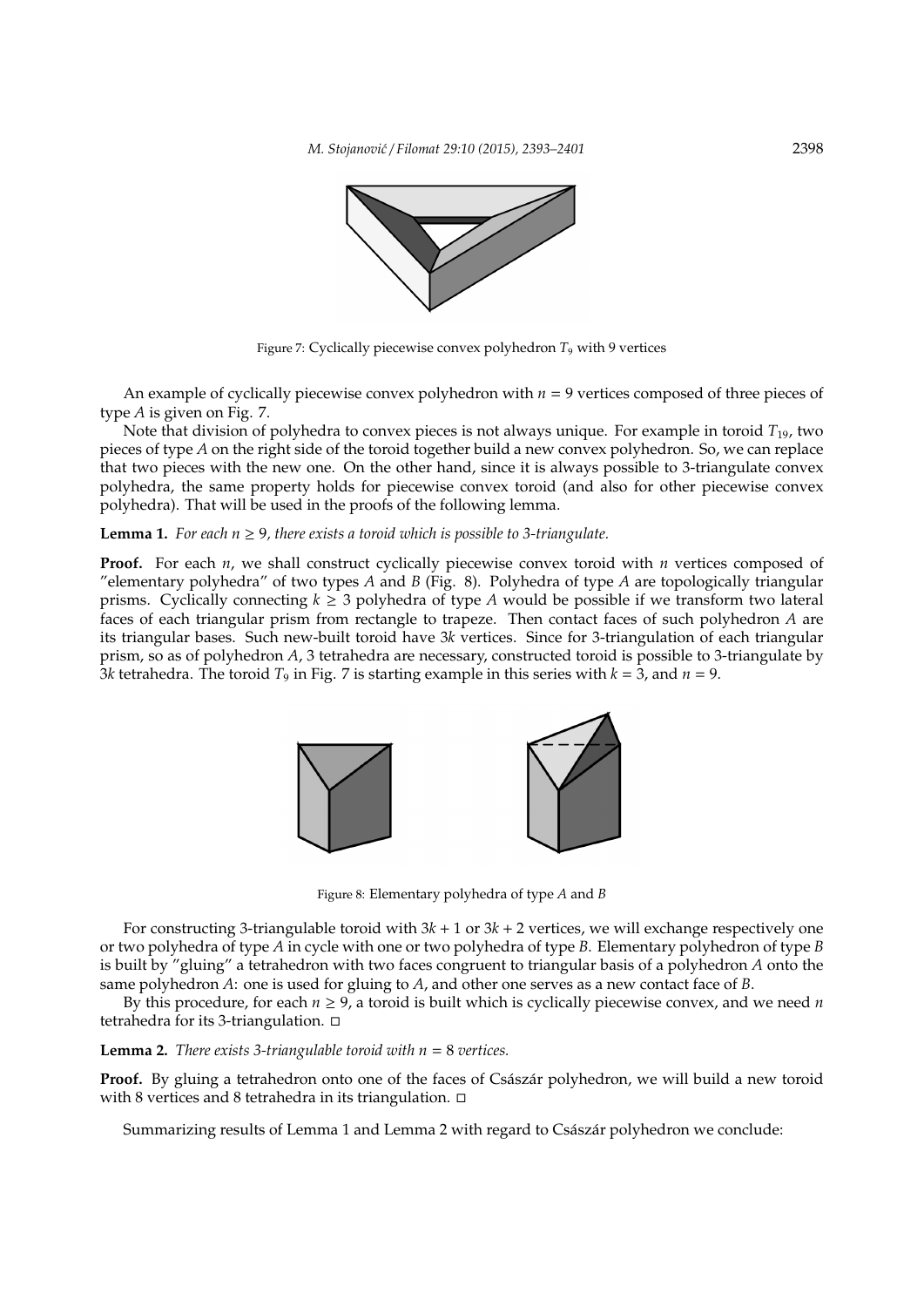

Figure 7: Cyclically piecewise convex polyhedron *T*<sup>9</sup> with 9 vertices

An example of cyclically piecewise convex polyhedron with  $n = 9$  vertices composed of three pieces of type *A* is given on Fig. 7.

Note that division of polyhedra to convex pieces is not always unique. For example in toroid *T*19, two pieces of type *A* on the right side of the toroid together build a new convex polyhedron. So, we can replace that two pieces with the new one. On the other hand, since it is always possible to 3-triangulate convex polyhedra, the same property holds for piecewise convex toroid (and also for other piecewise convex polyhedra). That will be used in the proofs of the following lemma.

## **Lemma 1.** For each  $n \geq 9$ , there exists a toroid which is possible to 3-triangulate.

**Proof.** For each *n*, we shall construct cyclically piecewise convex toroid with *n* vertices composed of "elementary polyhedra" of two types *A* and *B* (Fig. 8). Polyhedra of type *A* are topologically triangular prisms. Cyclically connecting  $k \geq 3$  polyhedra of type *A* would be possible if we transform two lateral faces of each triangular prism from rectangle to trapeze. Then contact faces of such polyhedron *A* are its triangular bases. Such new-built toroid have 3*k* vertices. Since for 3-triangulation of each triangular prism, so as of polyhedron *A*, 3 tetrahedra are necessary, constructed toroid is possible to 3-triangulate by 3*k* tetrahedra. The toroid  $T_9$  in Fig. 7 is starting example in this series with  $k = 3$ , and  $n = 9$ .



Figure 8: Elementary polyhedra of type *A* and *B*

For constructing 3-triangulable toroid with 3*k* + 1 or 3*k* + 2 vertices, we will exchange respectively one or two polyhedra of type *A* in cycle with one or two polyhedra of type *B*. Elementary polyhedron of type *B* is built by "gluing" a tetrahedron with two faces congruent to triangular basis of a polyhedron *A* onto the same polyhedron *A*: one is used for gluing to *A*, and other one serves as a new contact face of *B*.

By this procedure, for each  $n \ge 9$ , a toroid is built which is cyclically piecewise convex, and we need *n* tetrahedra for its 3-triangulation. □

## **Lemma 2.** *There exists 3-triangulable toroid with n* = 8 *vertices.*

**Proof.** By gluing a tetrahedron onto one of the faces of Császár polyhedron, we will build a new toroid with 8 vertices and 8 tetrahedra in its triangulation.  $\Box$ 

Summarizing results of Lemma 1 and Lemma 2 with regard to Császár polyhedron we conclude: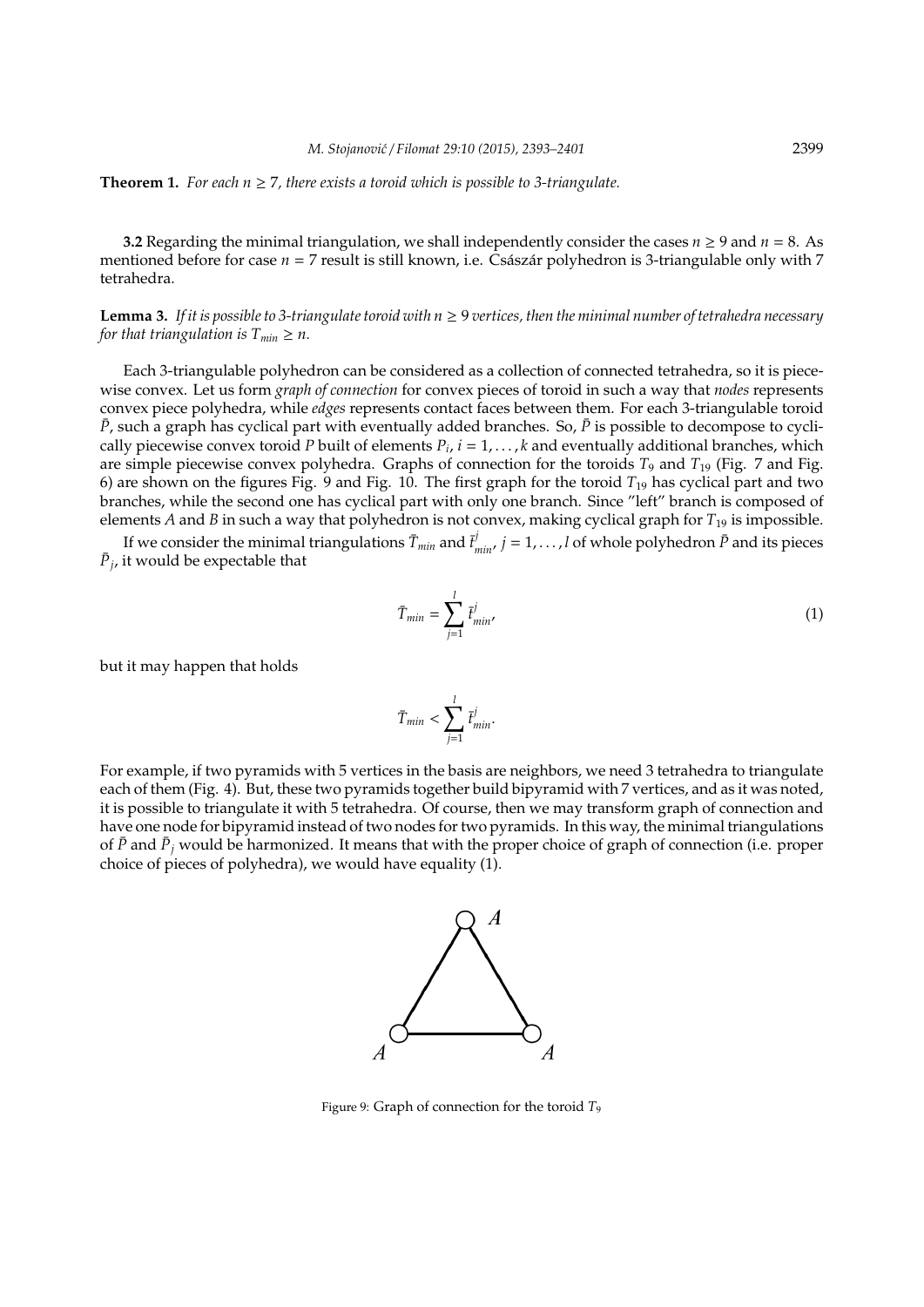**Theorem 1.** For each  $n \geq 7$ , there exists a toroid which is possible to 3-triangulate.

**3.2** Regarding the minimal triangulation, we shall independently consider the cases  $n \ge 9$  and  $n = 8$ . As mentioned before for case  $n = 7$  result is still known, i.e. Császár polyhedron is 3-triangulable only with 7 tetrahedra.

**Lemma 3.** If it is possible to 3-triangulate toroid with  $n \geq 9$  vertices, then the minimal number of tetrahedra necessary *for that triangulation is*  $T_{min} \geq n$ .

Each 3-triangulable polyhedron can be considered as a collection of connected tetrahedra, so it is piecewise convex. Let us form *graph of connection* for convex pieces of toroid in such a way that *nodes* represents convex piece polyhedra, while *edges* represents contact faces between them. For each 3-triangulable toroid  $\bar{P}$ , such a graph has cyclical part with eventually added branches. So,  $\bar{P}$  is possible to decompose to cyclically piecewise convex toroid *P* built of elements  $P_i$ ,  $i = 1, \ldots, k$  and eventually additional branches, which are simple piecewise convex polyhedra. Graphs of connection for the toroids *T*<sub>9</sub> and *T*<sub>19</sub> (Fig. 7 and Fig. 6) are shown on the figures Fig. 9 and Fig. 10. The first graph for the toroid *T*<sup>19</sup> has cyclical part and two branches, while the second one has cyclical part with only one branch. Since "left" branch is composed of elements *A* and *B* in such a way that polyhedron is not convex, making cyclical graph for *T*<sup>19</sup> is impossible.

If we consider the minimal triangulations  $\bar{T}_{min}$  and  $\bar{t}^j_{min}$ ,  $j = 1, \ldots, l$  of whole polyhedron  $\bar{P}$  and its pieces  $\bar{P}_j$ , it would be expectable that

$$
\bar{T}_{min} = \sum_{j=1}^{l} \bar{t}_{min}^{j} \tag{1}
$$

but it may happen that holds

$$
\bar{T}_{min} < \sum_{j=1}^{l} \bar{t}_{min}^j.
$$

For example, if two pyramids with 5 vertices in the basis are neighbors, we need 3 tetrahedra to triangulate each of them (Fig. 4). But, these two pyramids together build bipyramid with 7 vertices, and as it was noted, it is possible to triangulate it with 5 tetrahedra. Of course, then we may transform graph of connection and have one node for bipyramid instead of two nodes for two pyramids. In this way, the minimal triangulations of  $\bar{P}$  and  $\bar{P}_j$  would be harmonized. It means that with the proper choice of graph of connection (i.e. proper choice of pieces of polyhedra), we would have equality (1).



Figure 9: Graph of connection for the toroid *T*<sup>9</sup>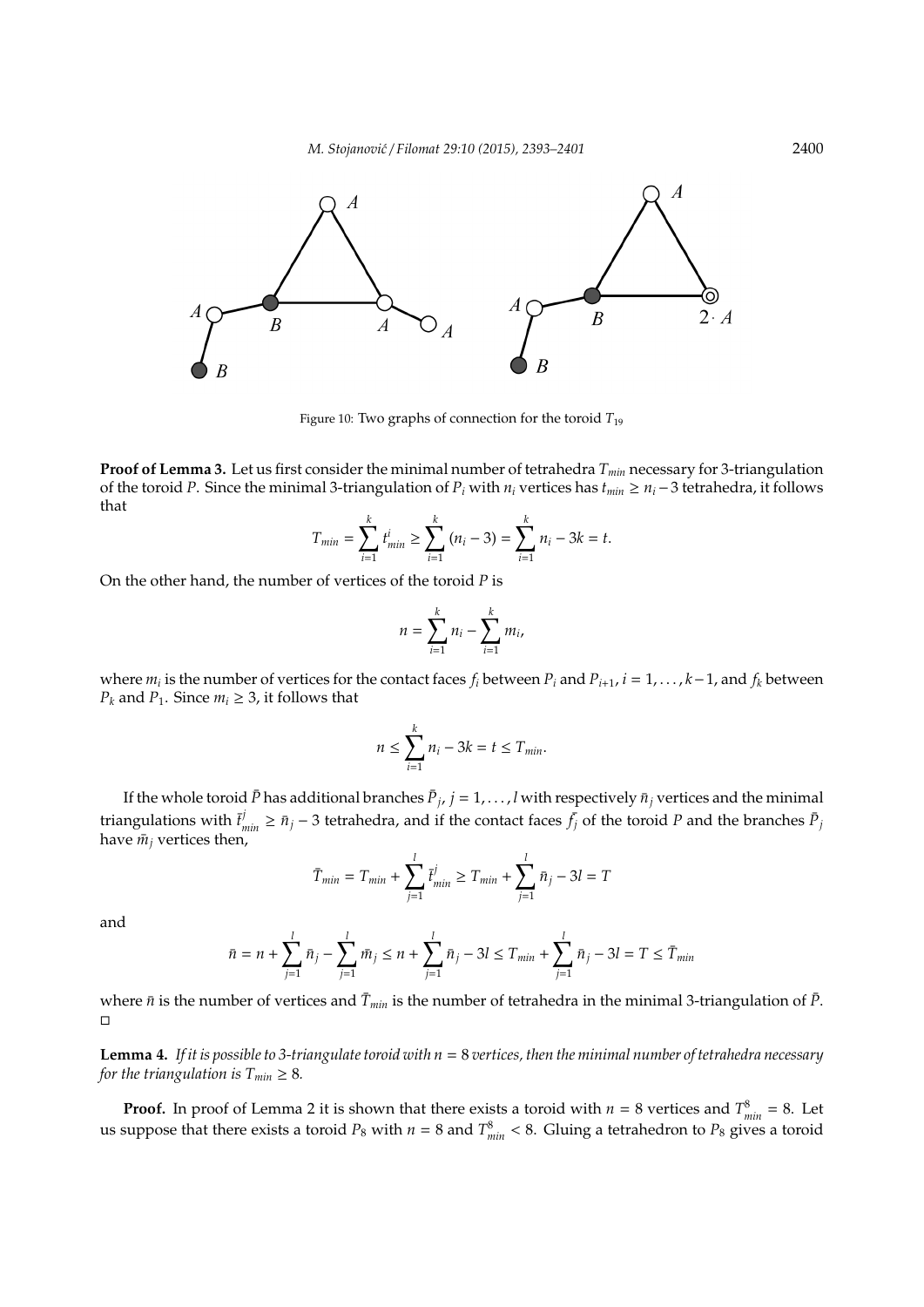

Figure 10: Two graphs of connection for the toroid  $T_{19}$ 

**Proof of Lemma 3.** Let us first consider the minimal number of tetrahedra *Tmin* necessary for 3-triangulation of the toroid *P*. Since the minimal 3-triangulation of  $P_i$  with  $n_i$  vertices has  $t_{min} \geq n_i - 3$  tetrahedra, it follows that

$$
T_{min} = \sum_{i=1}^{k} t_{min}^{i} \ge \sum_{i=1}^{k} (n_i - 3) = \sum_{i=1}^{k} n_i - 3k = t.
$$

On the other hand, the number of vertices of the toroid *P* is

$$
n=\sum_{i=1}^k n_i-\sum_{i=1}^k m_i,
$$

where  $m_i$  is the number of vertices for the contact faces  $f_i$  between  $P_i$  and  $P_{i+1}$ ,  $i=1,\ldots,k-1$ , and  $f_k$  between *P<sub>k</sub>* and *P*<sub>1</sub>. Since  $m_i \geq 3$ , it follows that

$$
n \leq \sum_{i=1}^k n_i - 3k = t \leq T_{min}.
$$

If the whole toroid  $\bar{P}$  has additional branches  $\bar{P}_j$ ,  $j=1,\ldots,l$  with respectively  $\bar{n}_j$  vertices and the minimal *j* triangulations with  $\bar{t}^j_{min} \geq \bar{n}_j - 3$  tetrahedra, and if the contact faces  $\bar{f}_j$  of the toroid *P* and the branches  $\bar{P}_j$ have  $\bar{m}_j$  vertices then,

$$
\bar{T}_{min} = T_{min} + \sum_{j=1}^{l} \bar{t}_{min}^{j} \ge T_{min} + \sum_{j=1}^{l} \bar{n}_{j} - 3l = T
$$

and

$$
\bar{n} = n + \sum_{j=1}^{l} \bar{n}_j - \sum_{j=1}^{l} \bar{m}_j \le n + \sum_{j=1}^{l} \bar{n}_j - 3l \le T_{min} + \sum_{j=1}^{l} \bar{n}_j - 3l = T \le \bar{T}_{min}
$$

where  $\bar{n}$  is the number of vertices and  $\bar{T}_{min}$  is the number of tetrahedra in the minimal 3-triangulation of  $\bar{P}$ .  $\Box$ 

**Lemma 4.** *If it is possible to 3-triangulate toroid with n* = 8 *vertices, then the minimal number of tetrahedra necessary for the triangulation is*  $T_{min} \geq 8$ *.* 

**Proof.** In proof of Lemma 2 it is shown that there exists a toroid with  $n = 8$  vertices and  $T_{min}^8 = 8$ . Let us suppose that there exists a toroid  $P_8$  with  $n = 8$  and  $T_{min}^8 < 8$ . Gluing a tetrahedron to  $P_8$  gives a toroid